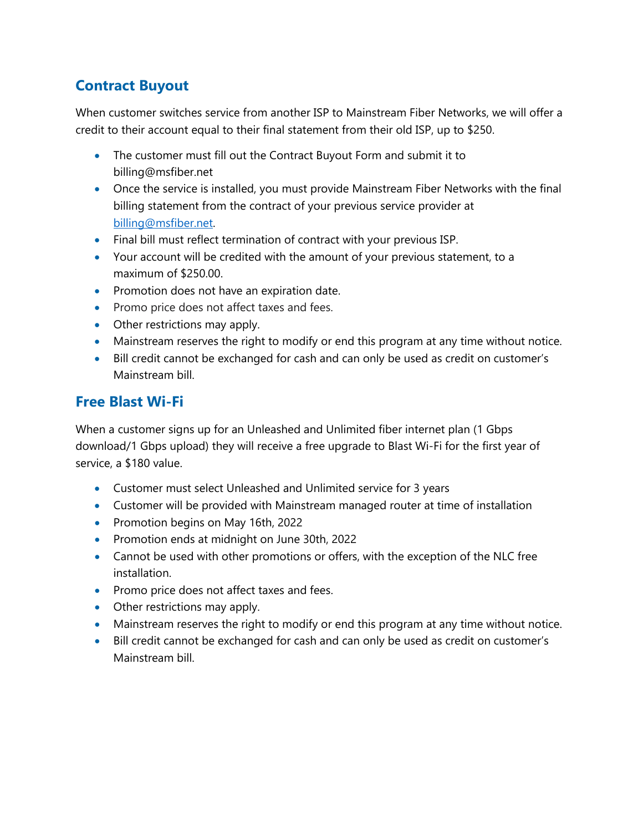## **Contract Buyout**

When customer switches service from another ISP to Mainstream Fiber Networks, we will offer a credit to their account equal to their final statement from their old ISP, up to \$250.

- The customer must fill out the Contract Buyout Form and submit it to billing@msfiber.net
- Once the service is installed, you must provide Mainstream Fiber Networks with the final billing statement from the contract of your previous service provider at [billing@msfiber.net.](mailto:billing@msfiber.net)
- Final bill must reflect termination of contract with your previous ISP.
- Your account will be credited with the amount of your previous statement, to a maximum of \$250.00.
- Promotion does not have an expiration date.
- Promo price does not affect taxes and fees.
- Other restrictions may apply.
- Mainstream reserves the right to modify or end this program at any time without notice.
- Bill credit cannot be exchanged for cash and can only be used as credit on customer's Mainstream bill.

## **Free Blast Wi-Fi**

When a customer signs up for an Unleashed and Unlimited fiber internet plan (1 Gbps download/1 Gbps upload) they will receive a free upgrade to Blast Wi-Fi for the first year of service, a \$180 value.

- Customer must select Unleashed and Unlimited service for 3 years
- Customer will be provided with Mainstream managed router at time of installation
- Promotion begins on May 16th, 2022
- Promotion ends at midnight on June 30th, 2022
- Cannot be used with other promotions or offers, with the exception of the NLC free installation.
- Promo price does not affect taxes and fees.
- Other restrictions may apply.
- Mainstream reserves the right to modify or end this program at any time without notice.
- Bill credit cannot be exchanged for cash and can only be used as credit on customer's Mainstream bill.